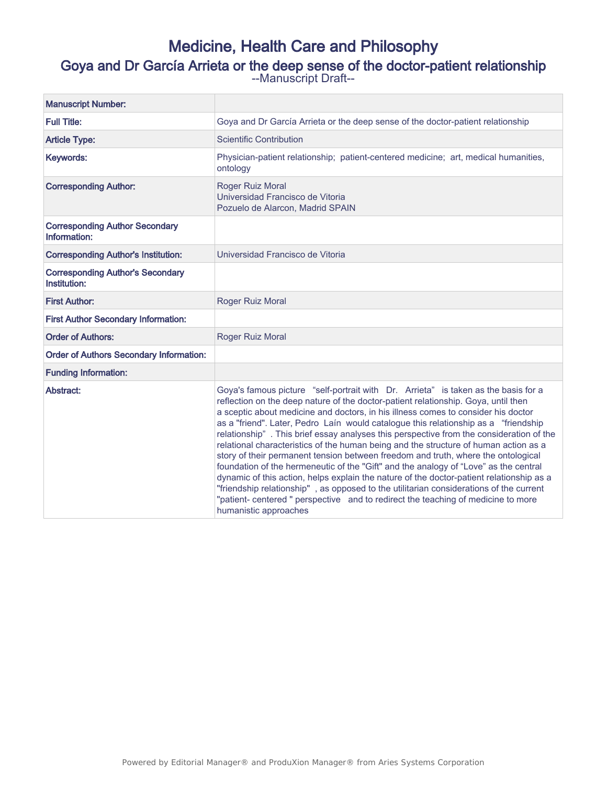# Medicine, Health Care and Philosophy Goya and Dr García Arrieta or the deep sense of the doctor-patient relationship --Manuscript Draft--

| <b>Manuscript Number:</b>                               |                                                                                                                                                                                                                                                                                                                                                                                                                                                                                                                                                                                                                                                                                                                                                                                                                                                                                                                                                                                                                          |
|---------------------------------------------------------|--------------------------------------------------------------------------------------------------------------------------------------------------------------------------------------------------------------------------------------------------------------------------------------------------------------------------------------------------------------------------------------------------------------------------------------------------------------------------------------------------------------------------------------------------------------------------------------------------------------------------------------------------------------------------------------------------------------------------------------------------------------------------------------------------------------------------------------------------------------------------------------------------------------------------------------------------------------------------------------------------------------------------|
| <b>Full Title:</b>                                      | Goya and Dr García Arrieta or the deep sense of the doctor-patient relationship                                                                                                                                                                                                                                                                                                                                                                                                                                                                                                                                                                                                                                                                                                                                                                                                                                                                                                                                          |
| <b>Article Type:</b>                                    | <b>Scientific Contribution</b>                                                                                                                                                                                                                                                                                                                                                                                                                                                                                                                                                                                                                                                                                                                                                                                                                                                                                                                                                                                           |
| Keywords:                                               | Physician-patient relationship; patient-centered medicine; art, medical humanities,<br>ontology                                                                                                                                                                                                                                                                                                                                                                                                                                                                                                                                                                                                                                                                                                                                                                                                                                                                                                                          |
| <b>Corresponding Author:</b>                            | Roger Ruiz Moral<br>Universidad Francisco de Vitoria<br>Pozuelo de Alarcon, Madrid SPAIN                                                                                                                                                                                                                                                                                                                                                                                                                                                                                                                                                                                                                                                                                                                                                                                                                                                                                                                                 |
| <b>Corresponding Author Secondary</b><br>Information:   |                                                                                                                                                                                                                                                                                                                                                                                                                                                                                                                                                                                                                                                                                                                                                                                                                                                                                                                                                                                                                          |
| <b>Corresponding Author's Institution:</b>              | Universidad Francisco de Vitoria                                                                                                                                                                                                                                                                                                                                                                                                                                                                                                                                                                                                                                                                                                                                                                                                                                                                                                                                                                                         |
| <b>Corresponding Author's Secondary</b><br>Institution: |                                                                                                                                                                                                                                                                                                                                                                                                                                                                                                                                                                                                                                                                                                                                                                                                                                                                                                                                                                                                                          |
| <b>First Author:</b>                                    | Roger Ruiz Moral                                                                                                                                                                                                                                                                                                                                                                                                                                                                                                                                                                                                                                                                                                                                                                                                                                                                                                                                                                                                         |
| <b>First Author Secondary Information:</b>              |                                                                                                                                                                                                                                                                                                                                                                                                                                                                                                                                                                                                                                                                                                                                                                                                                                                                                                                                                                                                                          |
| <b>Order of Authors:</b>                                | Roger Ruiz Moral                                                                                                                                                                                                                                                                                                                                                                                                                                                                                                                                                                                                                                                                                                                                                                                                                                                                                                                                                                                                         |
| <b>Order of Authors Secondary Information:</b>          |                                                                                                                                                                                                                                                                                                                                                                                                                                                                                                                                                                                                                                                                                                                                                                                                                                                                                                                                                                                                                          |
| <b>Funding Information:</b>                             |                                                                                                                                                                                                                                                                                                                                                                                                                                                                                                                                                                                                                                                                                                                                                                                                                                                                                                                                                                                                                          |
| Abstract:                                               | Goya's famous picture "self-portrait with Dr. Arrieta" is taken as the basis for a<br>reflection on the deep nature of the doctor-patient relationship. Goya, until then<br>a sceptic about medicine and doctors, in his illness comes to consider his doctor<br>as a "friend". Later, Pedro Laín would catalogue this relationship as a "friendship<br>relationship". This brief essay analyses this perspective from the consideration of the<br>relational characteristics of the human being and the structure of human action as a<br>story of their permanent tension between freedom and truth, where the ontological<br>foundation of the hermeneutic of the "Gift" and the analogy of "Love" as the central<br>dynamic of this action, helps explain the nature of the doctor-patient relationship as a<br>"friendship relationship", as opposed to the utilitarian considerations of the current<br>"patient- centered " perspective and to redirect the teaching of medicine to more<br>humanistic approaches |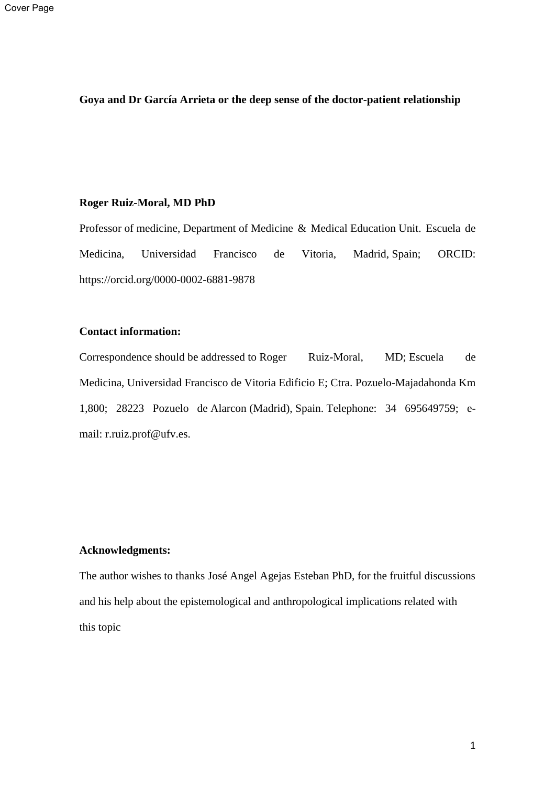# **Goya and Dr García Arrieta or the deep sense of the doctor-patient relationship**

## **Roger Ruiz-Moral, MD PhD**

Professor of medicine, Department of Medicine & Medical Education Unit. Escuela de Medicina, Universidad Francisco de Vitoria, Madrid, Spain; ORCID: https://orcid.org/0000-0002-6881-9878

# **Contact information:**

Correspondence should be addressed to Roger Ruiz-Moral, MD; Escuela de Medicina, Universidad Francisco de Vitoria Edificio E; Ctra. Pozuelo-Majadahonda Km 1,800; 28223 Pozuelo de Alarcon (Madrid), Spain. Telephone: 34 695649759; email: r.ruiz.prof@ufv.es.

# **Acknowledgments:**

The author wishes to thanks José Angel Agejas Esteban PhD, for the fruitful discussions and his help about the epistemological and anthropological implications related with this topic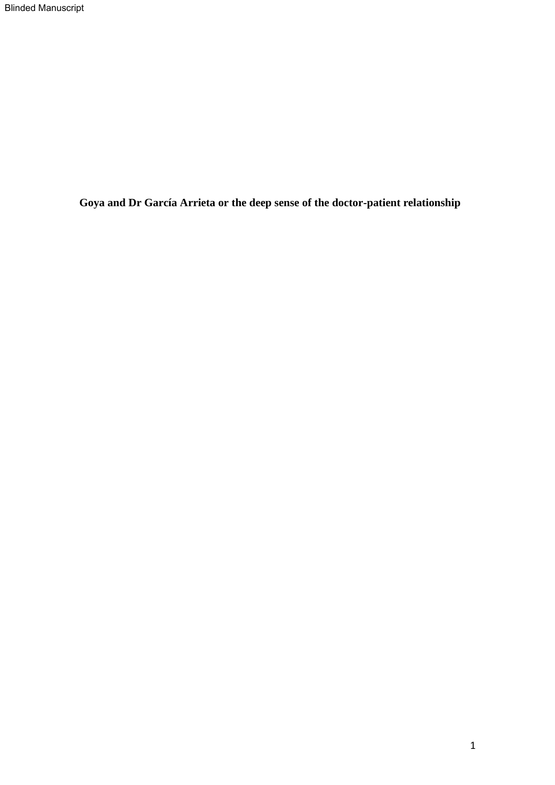**Goya and Dr García Arrieta or the deep sense of the doctor-patient relationship**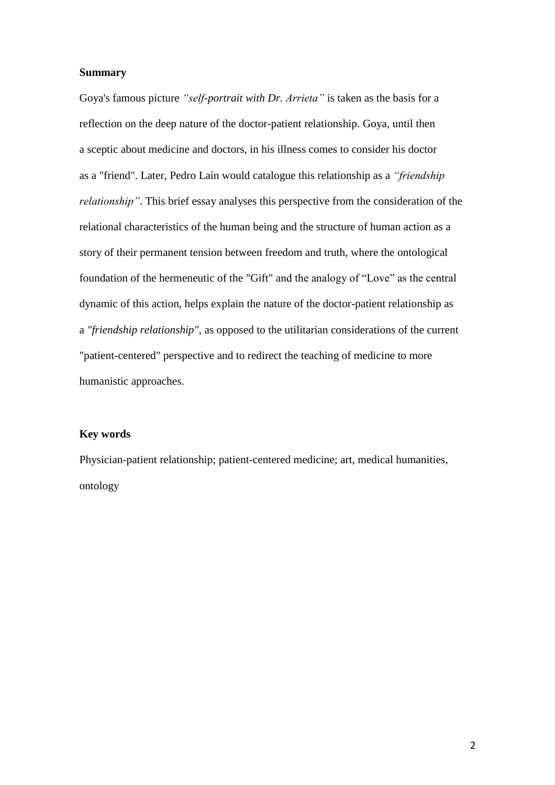#### **Summary**

Goya's famous picture *"self-portrait with Dr. Arrieta"* is taken as the basis for a reflection on the deep nature of the doctor-patient relationship. Goya, until then a sceptic about medicine and doctors, in his illness comes to consider his doctor as a "friend". Later, Pedro Laín would catalogue this relationship as a *"friendship relationship"*. This brief essay analyses this perspective from the consideration of the relational characteristics of the human being and the structure of human action as a story of their permanent tension between freedom and truth, where the ontological foundation of the hermeneutic of the "Gift" and the analogy of "Love" as the central dynamic of this action, helps explain the nature of the doctor-patient relationship as a *"friendship relationship"*, as opposed to the utilitarian considerations of the current "patient-centered" perspective and to redirect the teaching of medicine to more humanistic approaches.

# **Key words**

Physician-patient relationship; patient-centered medicine; art, medical humanities, ontology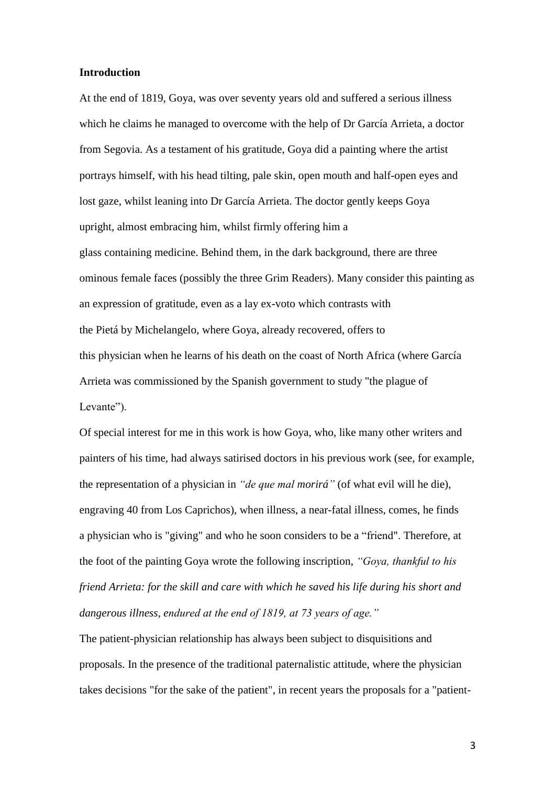## **Introduction**

At the end of 1819, Goya, was over seventy years old and suffered a serious illness which he claims he managed to overcome with the help of Dr García Arrieta, a doctor from Segovia. As a testament of his gratitude, Goya did a painting where the artist portrays himself, with his head tilting, pale skin, open mouth and half-open eyes and lost gaze, whilst leaning into Dr García Arrieta. The doctor gently keeps Goya upright, almost embracing him, whilst firmly offering him a glass containing medicine. Behind them, in the dark background, there are three ominous female faces (possibly the three Grim Readers). Many consider this painting as an expression of gratitude, even as a lay ex-voto which contrasts with the Pietá by Michelangelo, where Goya, already recovered, offers to this physician when he learns of his death on the coast of North Africa (where García Arrieta was commissioned by the Spanish government to study "the plague of Levante").

Of special interest for me in this work is how Goya, who, like many other writers and painters of his time, had always satirised doctors in his previous work (see, for example, the representation of a physician in *"de que mal morirá"* (of what evil will he die), engraving 40 from Los Caprichos), when illness, a near-fatal illness, comes, he finds a physician who is "giving" and who he soon considers to be a "friend". Therefore, at the foot of the painting Goya wrote the following inscription, *"Goya, thankful to his friend Arrieta: for the skill and care with which he saved his life during his short and dangerous illness, endured at the end of 1819, at 73 years of age."*

The patient-physician relationship has always been subject to disquisitions and proposals. In the presence of the traditional paternalistic attitude, where the physician takes decisions "for the sake of the patient", in recent years the proposals for a "patient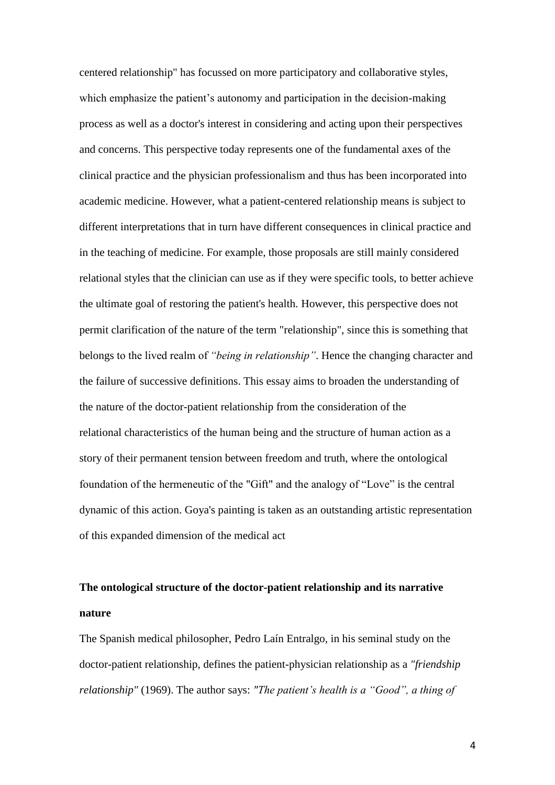centered relationship" has focussed on more participatory and collaborative styles, which emphasize the patient's autonomy and participation in the decision-making process as well as a doctor's interest in considering and acting upon their perspectives and concerns. This perspective today represents one of the fundamental axes of the clinical practice and the physician professionalism and thus has been incorporated into academic medicine. However, what a patient-centered relationship means is subject to different interpretations that in turn have different consequences in clinical practice and in the teaching of medicine. For example, those proposals are still mainly considered relational styles that the clinician can use as if they were specific tools, to better achieve the ultimate goal of restoring the patient's health. However, this perspective does not permit clarification of the nature of the term "relationship", since this is something that belongs to the lived realm of *"being in relationship"*. Hence the changing character and the failure of successive definitions. This essay aims to broaden the understanding of the nature of the doctor-patient relationship from the consideration of the relational characteristics of the human being and the structure of human action as a story of their permanent tension between freedom and truth, where the ontological foundation of the hermeneutic of the "Gift" and the analogy of "Love" is the central dynamic of this action. Goya's painting is taken as an outstanding artistic representation of this expanded dimension of the medical act

# **The ontological structure of the doctor-patient relationship and its narrative nature**

The Spanish medical philosopher, Pedro Laín Entralgo, in his seminal study on the doctor-patient relationship, defines the patient-physician relationship as a *"friendship relationship"* (1969). The author says: *"The patient's health is a "Good", a thing of*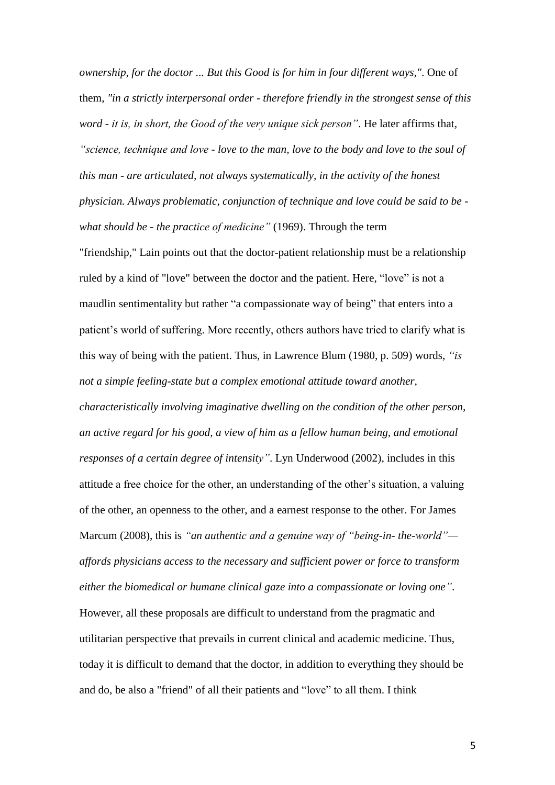*ownership, for the doctor ... But this Good is for him in four different ways,"*. One of them, *"in a strictly interpersonal order - therefore friendly in the strongest sense of this word - it is, in short, the Good of the very unique sick person"*. He later affirms that*, "science, technique and love - love to the man, love to the body and love to the soul of this man - are articulated, not always systematically, in the activity of the honest physician. Always problematic, conjunction of technique and love could be said to be what should be - the practice of medicine"* (1969). Through the term

"friendship," Lain points out that the doctor-patient relationship must be a relationship ruled by a kind of "love" between the doctor and the patient. Here, "love" is not a maudlin sentimentality but rather "a compassionate way of being" that enters into a patient's world of suffering. More recently, others authors have tried to clarify what is this way of being with the patient. Thus, in Lawrence Blum (1980, p. 509) words, *"is not a simple feeling-state but a complex emotional attitude toward another, characteristically involving imaginative dwelling on the condition of the other person, an active regard for his good, a view of him as a fellow human being, and emotional responses of a certain degree of intensity"*. Lyn Underwood (2002), includes in this attitude a free choice for the other, an understanding of the other's situation, a valuing of the other, an openness to the other, and a earnest response to the other. For James Marcum (2008), this is *"an authentic and a genuine way of "being-in- the-world" affords physicians access to the necessary and sufficient power or force to transform either the biomedical or humane clinical gaze into a compassionate or loving one"*. However, all these proposals are difficult to understand from the pragmatic and utilitarian perspective that prevails in current clinical and academic medicine. Thus, today it is difficult to demand that the doctor, in addition to everything they should be

and do, be also a "friend" of all their patients and "love" to all them. I think

5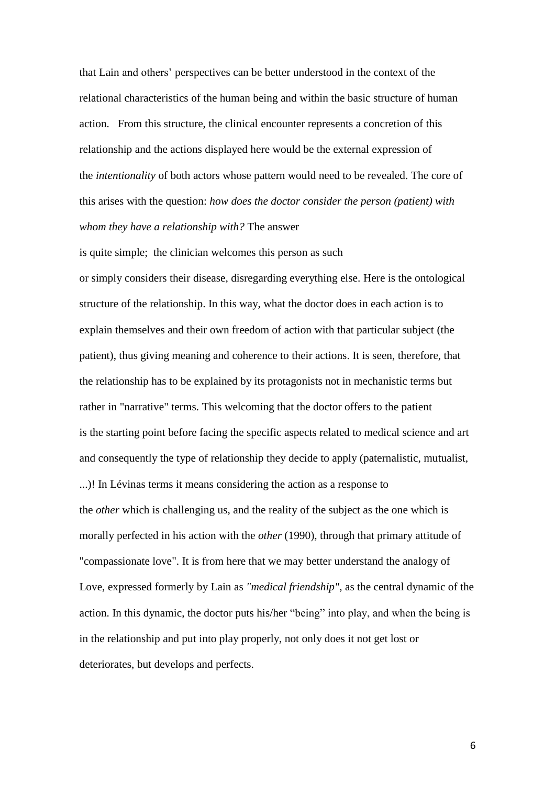that Lain and others' perspectives can be better understood in the context of the relational characteristics of the human being and within the basic structure of human action. From this structure, the clinical encounter represents a concretion of this relationship and the actions displayed here would be the external expression of the *intentionality* of both actors whose pattern would need to be revealed. The core of this arises with the question: *how does the doctor consider the person (patient) with whom they have a relationship with?* The answer

is quite simple; the clinician welcomes this person as such or simply considers their disease, disregarding everything else. Here is the ontological structure of the relationship. In this way, what the doctor does in each action is to explain themselves and their own freedom of action with that particular subject (the patient), thus giving meaning and coherence to their actions. It is seen, therefore, that the relationship has to be explained by its protagonists not in mechanistic terms but rather in "narrative" terms. This welcoming that the doctor offers to the patient is the starting point before facing the specific aspects related to medical science and art and consequently the type of relationship they decide to apply (paternalistic, mutualist, ...)! In Lévinas terms it means considering the action as a response to the *other* which is challenging us, and the reality of the subject as the one which is morally perfected in his action with the *other* (1990), through that primary attitude of "compassionate love". It is from here that we may better understand the analogy of Love, expressed formerly by Lain as *"medical friendship"*, as the central dynamic of the action. In this dynamic, the doctor puts his/her "being" into play, and when the being is in the relationship and put into play properly, not only does it not get lost or deteriorates, but develops and perfects.

6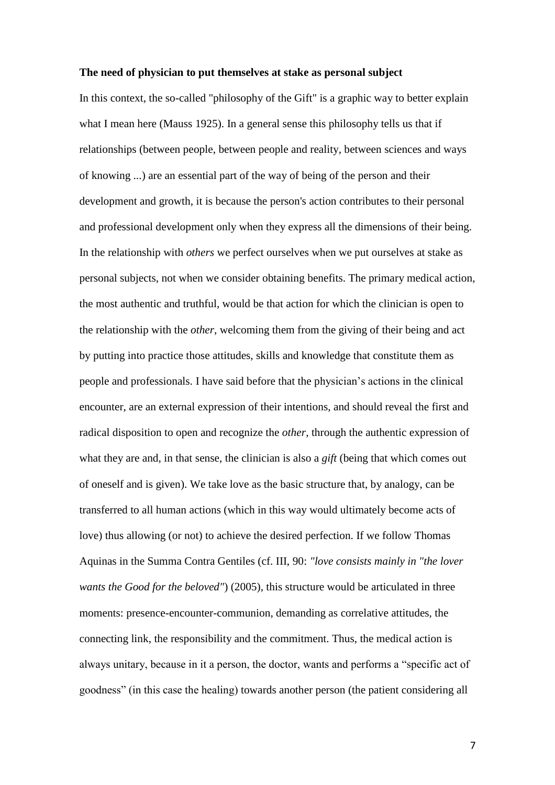#### **The need of physician to put themselves at stake as personal subject**

In this context, the so-called "philosophy of the Gift" is a graphic way to better explain what I mean here (Mauss 1925). In a general sense this philosophy tells us that if relationships (between people, between people and reality, between sciences and ways of knowing ...) are an essential part of the way of being of the person and their development and growth, it is because the person's action contributes to their personal and professional development only when they express all the dimensions of their being. In the relationship with *others* we perfect ourselves when we put ourselves at stake as personal subjects, not when we consider obtaining benefits. The primary medical action, the most authentic and truthful, would be that action for which the clinician is open to the relationship with the *other*, welcoming them from the giving of their being and act by putting into practice those attitudes, skills and knowledge that constitute them as people and professionals. I have said before that the physician's actions in the clinical encounter, are an external expression of their intentions, and should reveal the first and radical disposition to open and recognize the *other,* through the authentic expression of what they are and, in that sense, the clinician is also a *gift* (being that which comes out of oneself and is given). We take love as the basic structure that, by analogy, can be transferred to all human actions (which in this way would ultimately become acts of love) thus allowing (or not) to achieve the desired perfection. If we follow Thomas Aquinas in the Summa Contra Gentiles (cf. III, 90: *"love consists mainly in "the lover wants the Good for the beloved"*) (2005), this structure would be articulated in three moments: presence-encounter-communion, demanding as correlative attitudes, the connecting link, the responsibility and the commitment. Thus, the medical action is always unitary, because in it a person, the doctor, wants and performs a "specific act of goodness" (in this case the healing) towards another person (the patient considering all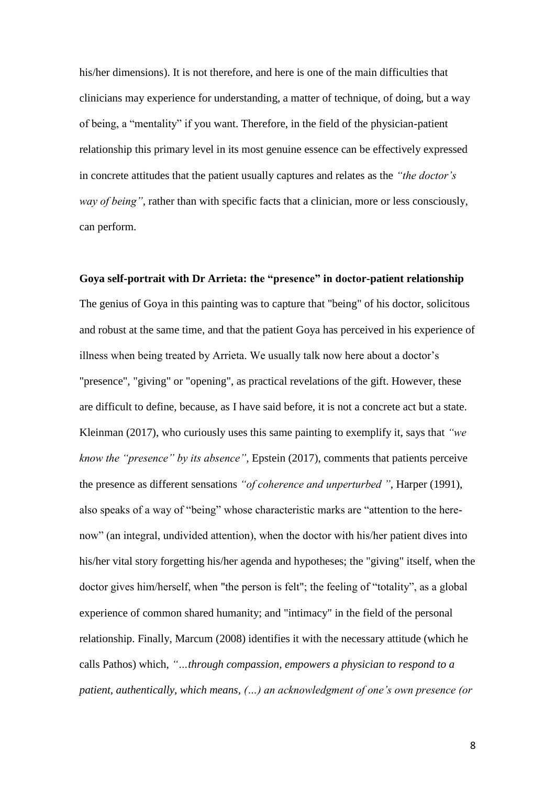his/her dimensions). It is not therefore, and here is one of the main difficulties that clinicians may experience for understanding, a matter of technique, of doing, but a way of being, a "mentality" if you want. Therefore, in the field of the physician-patient relationship this primary level in its most genuine essence can be effectively expressed in concrete attitudes that the patient usually captures and relates as the *"the doctor's way of being"*, rather than with specific facts that a clinician, more or less consciously, can perform.

**Goya self-portrait with Dr Arrieta: the "presence" in doctor-patient relationship** The genius of Goya in this painting was to capture that "being" of his doctor, solicitous and robust at the same time, and that the patient Goya has perceived in his experience of illness when being treated by Arrieta. We usually talk now here about a doctor's "presence", "giving" or "opening", as practical revelations of the gift. However, these are difficult to define, because, as I have said before, it is not a concrete act but a state. Kleinman (2017), who curiously uses this same painting to exemplify it, says that *"we know the "presence" by its absence"*, Epstein (2017), comments that patients perceive the presence as different sensations *"of coherence and unperturbed "*, Harper (1991), also speaks of a way of "being" whose characteristic marks are "attention to the herenow" (an integral, undivided attention), when the doctor with his/her patient dives into his/her vital story forgetting his/her agenda and hypotheses; the "giving" itself, when the doctor gives him/herself, when "the person is felt"; the feeling of "totality", as a global experience of common shared humanity; and "intimacy" in the field of the personal relationship. Finally, Marcum (2008) identifies it with the necessary attitude (which he calls Pathos) which, *"…through compassion, empowers a physician to respond to a patient, authentically, which means, (…) an acknowledgment of one's own presence (or*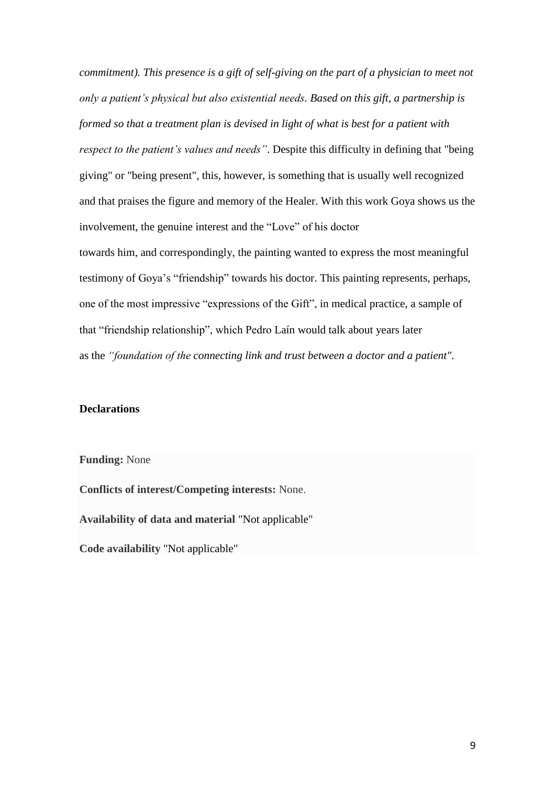*commitment). This presence is a gift of self-giving on the part of a physician to meet not only a patient's physical but also existential needs. Based on this gift, a partnership is formed so that a treatment plan is devised in light of what is best for a patient with respect to the patient's values and needs"*. Despite this difficulty in defining that "being giving" or "being present", this, however, is something that is usually well recognized and that praises the figure and memory of the Healer. With this work Goya shows us the involvement, the genuine interest and the "Love" of his doctor towards him, and correspondingly, the painting wanted to express the most meaningful testimony of Goya's "friendship" towards his doctor. This painting represents, perhaps, one of the most impressive "expressions of the Gift", in medical practice, a sample of that "friendship relationship", which Pedro Laín would talk about years later as the *"foundation of the connecting link and trust between a doctor and a patient".*

### **Declarations**

**Funding:** None

**Conflicts of interest/Competing interests:** None.

**Availability of data and material** "Not applicable"

**Code availability** "Not applicable"